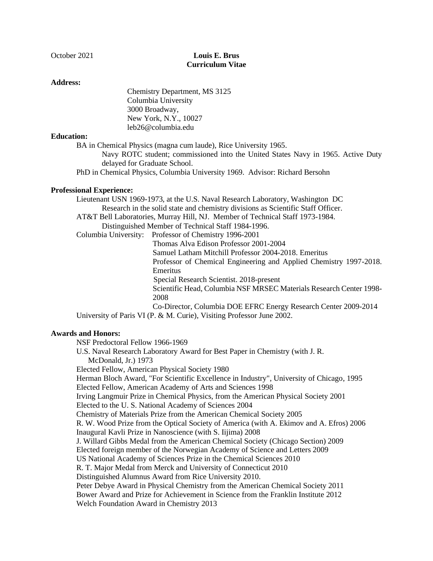# October 2021 **Louis E. Brus Curriculum Vitae**

### **Address:**

Chemistry Department, MS 3125 Columbia University 3000 Broadway, New York, N.Y., 10027 leb26@columbia.edu

## **Education:**

BA in Chemical Physics (magna cum laude), Rice University 1965.

Navy ROTC student; commissioned into the United States Navy in 1965. Active Duty delayed for Graduate School.

PhD in Chemical Physics, Columbia University 1969. Advisor: Richard Bersohn

## **Professional Experience:**

Lieutenant USN 1969-1973, at the U.S. Naval Research Laboratory, Washington DC Research in the solid state and chemistry divisions as Scientific Staff Officer. AT&T Bell Laboratories, Murray Hill, NJ. Member of Technical Staff 1973-1984. Distinguished Member of Technical Staff 1984-1996. Columbia University: Professor of Chemistry 1996-2001

Thomas Alva Edison Professor 2001-2004 Samuel Latham Mitchill Professor 2004-2018. Emeritus Professor of Chemical Engineering and Applied Chemistry 1997-2018. Emeritus Special Research Scientist. 2018-present Scientific Head, Columbia NSF MRSEC Materials Research Center 1998- 2008 Co-Director, Columbia DOE EFRC Energy Research Center 2009-2014 University of Paris VI (P. & M. Curie), Visiting Professor June 2002.

# **Awards and Honors:**

NSF Predoctoral Fellow 1966-1969

U.S. Naval Research Laboratory Award for Best Paper in Chemistry (with J. R. McDonald, Jr.) 1973

Elected Fellow, American Physical Society 1980

Herman Bloch Award, "For Scientific Excellence in Industry", University of Chicago, 1995 Elected Fellow, American Academy of Arts and Sciences 1998

Irving Langmuir Prize in Chemical Physics, from the American Physical Society 2001

Elected to the U. S. National Academy of Sciences 2004

Chemistry of Materials Prize from the American Chemical Society 2005

R. W. Wood Prize from the Optical Society of America (with A. Ekimov and A. Efros) 2006 Inaugural Kavli Prize in Nanoscience (with S. Iijima) 2008

J. Willard Gibbs Medal from the American Chemical Society (Chicago Section) 2009

Elected foreign member of the Norwegian Academy of Science and Letters 2009

US National Academy of Sciences Prize in the Chemical Sciences 2010

R. T. Major Medal from Merck and University of Connecticut 2010

Distinguished Alumnus Award from Rice University 2010.

Peter Debye Award in Physical Chemistry from the American Chemical Society 2011 Bower Award and Prize for Achievement in Science from the Franklin Institute 2012 Welch Foundation Award in Chemistry 2013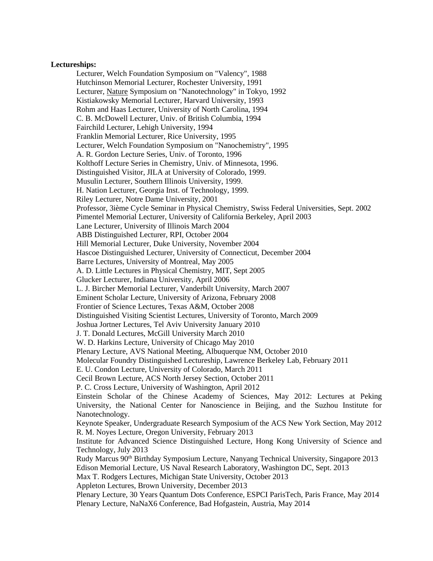#### **Lectureships:**

Lecturer, Welch Foundation Symposium on "Valency", 1988 Hutchinson Memorial Lecturer, Rochester University, 1991 Lecturer, Nature Symposium on "Nanotechnology" in Tokyo, 1992 Kistiakowsky Memorial Lecturer, Harvard University, 1993 Rohm and Haas Lecturer, University of North Carolina, 1994 C. B. McDowell Lecturer, Univ. of British Columbia, 1994 Fairchild Lecturer, Lehigh University, 1994 Franklin Memorial Lecturer, Rice University, 1995 Lecturer, Welch Foundation Symposium on "Nanochemistry", 1995 A. R. Gordon Lecture Series, Univ. of Toronto, 1996 Kolthoff Lecture Series in Chemistry, Univ. of Minnesota, 1996. Distinguished Visitor, JILA at University of Colorado, 1999. Musulin Lecturer, Southern Illinois University, 1999. H. Nation Lecturer, Georgia Inst. of Technology, 1999. Riley Lecturer, Notre Dame University, 2001 Professor, 3ième Cycle Seminar in Physical Chemistry, Swiss Federal Universities, Sept. 2002 Pimentel Memorial Lecturer, University of California Berkeley, April 2003 Lane Lecturer, University of Illinois March 2004 ABB Distinguished Lecturer, RPI, October 2004 Hill Memorial Lecturer, Duke University, November 2004 Hascoe Distinguished Lecturer, University of Connecticut, December 2004 Barre Lectures, University of Montreal, May 2005 A. D. Little Lectures in Physical Chemistry, MIT, Sept 2005 Glucker Lecturer, Indiana University, April 2006 L. J. Bircher Memorial Lecturer, Vanderbilt University, March 2007 Eminent Scholar Lecture, University of Arizona, February 2008 Frontier of Science Lectures, Texas A&M, October 2008 Distinguished Visiting Scientist Lectures, University of Toronto, March 2009 Joshua Jortner Lectures, Tel Aviv University January 2010 J. T. Donald Lectures, McGill University March 2010 W. D. Harkins Lecture, University of Chicago May 2010 Plenary Lecture, AVS National Meeting, Albuquerque NM, October 2010 Molecular Foundry Distinguished Lectureship, Lawrence Berkeley Lab, February 2011 E. U. Condon Lecture, University of Colorado, March 2011 Cecil Brown Lecture, ACS North Jersey Section, October 2011 P. C. Cross Lecture, University of Washington, April 2012 Einstein Scholar of the Chinese Academy of Sciences, May 2012: Lectures at Peking University, the National Center for Nanoscience in Beijing, and the Suzhou Institute for Nanotechnology. Keynote Speaker, Undergraduate Research Symposium of the ACS New York Section, May 2012 R. M. Noyes Lecture, Oregon University, February 2013 Institute for Advanced Science Distinguished Lecture, Hong Kong University of Science and Technology, July 2013 Rudy Marcus 90th Birthday Symposium Lecture, Nanyang Technical University, Singapore 2013 Edison Memorial Lecture, US Naval Research Laboratory, Washington DC, Sept. 2013 Max T. Rodgers Lectures, Michigan State University, October 2013 Appleton Lectures, Brown University, December 2013 Plenary Lecture, 30 Years Quantum Dots Conference, ESPCI ParisTech, Paris France, May 2014 Plenary Lecture, NaNaX6 Conference, Bad Hofgastein, Austria, May 2014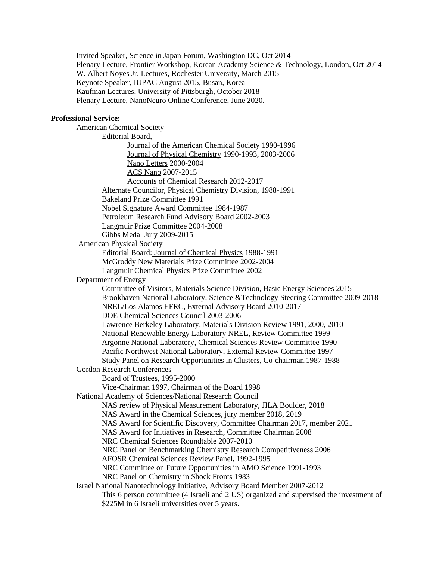Invited Speaker, Science in Japan Forum, Washington DC, Oct 2014 Plenary Lecture, Frontier Workshop, Korean Academy Science & Technology, London, Oct 2014 W. Albert Noyes Jr. Lectures, Rochester University, March 2015 Keynote Speaker, IUPAC August 2015, Busan, Korea Kaufman Lectures, University of Pittsburgh, October 2018 Plenary Lecture, NanoNeuro Online Conference, June 2020.

#### **Professional Service:**

American Chemical Society Editorial Board, Journal of the American Chemical Society 1990-1996 Journal of Physical Chemistry 1990-1993, 2003-2006 Nano Letters 2000-2004 ACS Nano 2007-2015 Accounts of Chemical Research 2012-2017 Alternate Councilor, Physical Chemistry Division, 1988-1991 Bakeland Prize Committee 1991 Nobel Signature Award Committee 1984-1987 Petroleum Research Fund Advisory Board 2002-2003 Langmuir Prize Committee 2004-2008 Gibbs Medal Jury 2009-2015 American Physical Society Editorial Board: Journal of Chemical Physics 1988-1991 McGroddy New Materials Prize Committee 2002-2004 Langmuir Chemical Physics Prize Committee 2002 Department of Energy Committee of Visitors, Materials Science Division, Basic Energy Sciences 2015 Brookhaven National Laboratory, Science &Technology Steering Committee 2009-2018 NREL/Los Alamos EFRC, External Advisory Board 2010-2017 DOE Chemical Sciences Council 2003-2006 Lawrence Berkeley Laboratory, Materials Division Review 1991, 2000, 2010 National Renewable Energy Laboratory NREL, Review Committee 1999 Argonne National Laboratory, Chemical Sciences Review Committee 1990 Pacific Northwest National Laboratory, External Review Committee 1997 Study Panel on Research Opportunities in Clusters, Co-chairman.1987-1988 Gordon Research Conferences Board of Trustees, 1995-2000 Vice-Chairman 1997, Chairman of the Board 1998 National Academy of Sciences/National Research Council NAS review of Physical Measurement Laboratory, JILA Boulder, 2018 NAS Award in the Chemical Sciences, jury member 2018, 2019 NAS Award for Scientific Discovery, Committee Chairman 2017, member 2021 NAS Award for Initiatives in Research, Committee Chairman 2008 NRC Chemical Sciences Roundtable 2007-2010 NRC Panel on Benchmarking Chemistry Research Competitiveness 2006 AFOSR Chemical Sciences Review Panel, 1992-1995 NRC Committee on Future Opportunities in AMO Science 1991-1993 NRC Panel on Chemistry in Shock Fronts 1983 Israel National Nanotechnology Initiative, Advisory Board Member 2007-2012 This 6 person committee (4 Israeli and 2 US) organized and supervised the investment of \$225M in 6 Israeli universities over 5 years.